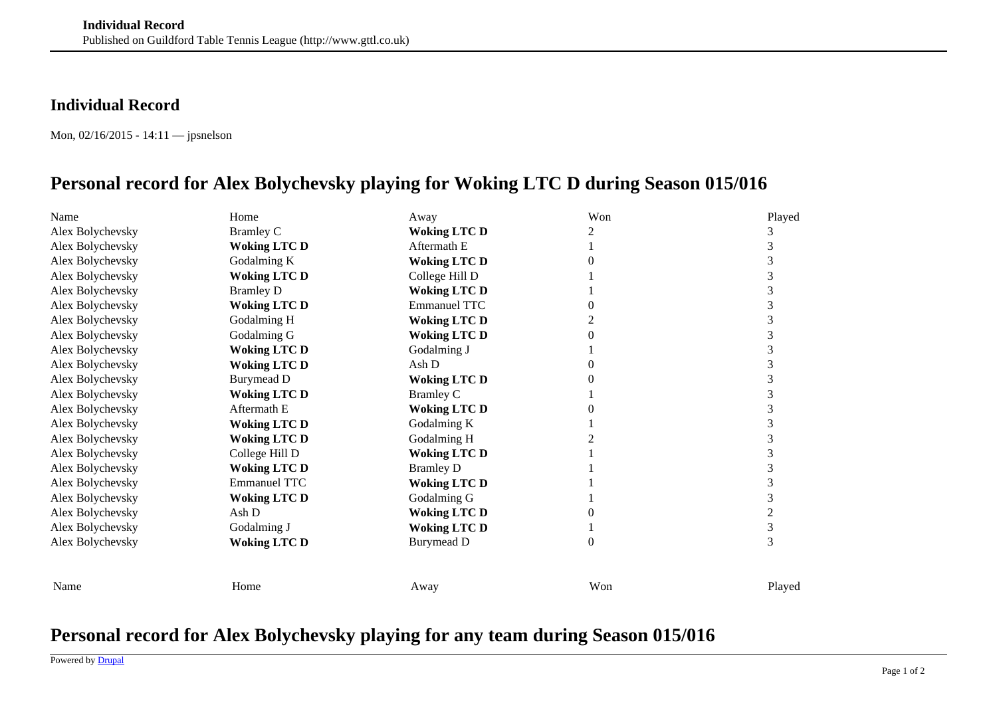## **Individual Record**

Mon, 02/16/2015 - 14:11 — jpsnelson

## **Personal record for Alex Bolychevsky playing for Woking LTC D during Season 015/016**

| Name             | Home                | Away                | Won      | Played |
|------------------|---------------------|---------------------|----------|--------|
| Alex Bolychevsky | <b>Bramley C</b>    | <b>Woking LTC D</b> |          |        |
| Alex Bolychevsky | <b>Woking LTC D</b> | Aftermath E         |          | 3      |
| Alex Bolychevsky | Godalming K         | <b>Woking LTC D</b> |          | 3      |
| Alex Bolychevsky | <b>Woking LTC D</b> | College Hill D      |          | 3      |
| Alex Bolychevsky | <b>Bramley D</b>    | <b>Woking LTC D</b> |          | 3      |
| Alex Bolychevsky | <b>Woking LTC D</b> | <b>Emmanuel TTC</b> |          | 3      |
| Alex Bolychevsky | Godalming H         | <b>Woking LTC D</b> |          | 3      |
| Alex Bolychevsky | Godalming G         | <b>Woking LTC D</b> |          | 3      |
| Alex Bolychevsky | <b>Woking LTC D</b> | Godalming J         |          | 3      |
| Alex Bolychevsky | <b>Woking LTC D</b> | Ash D               |          | 3      |
| Alex Bolychevsky | <b>Burymead D</b>   | <b>Woking LTC D</b> |          | 3      |
| Alex Bolychevsky | <b>Woking LTC D</b> | <b>Bramley C</b>    |          | 3      |
| Alex Bolychevsky | Aftermath E         | <b>Woking LTC D</b> |          | 3      |
| Alex Bolychevsky | <b>Woking LTC D</b> | Godalming K         |          | 3      |
| Alex Bolychevsky | <b>Woking LTC D</b> | Godalming H         |          | 3      |
| Alex Bolychevsky | College Hill D      | <b>Woking LTC D</b> |          | 3      |
| Alex Bolychevsky | <b>Woking LTC D</b> | <b>Bramley D</b>    |          | 3      |
| Alex Bolychevsky | <b>Emmanuel TTC</b> | <b>Woking LTC D</b> |          | 3      |
| Alex Bolychevsky | <b>Woking LTC D</b> | Godalming G         |          | 3      |
| Alex Bolychevsky | Ash D               | <b>Woking LTC D</b> |          | 2      |
| Alex Bolychevsky | Godalming J         | <b>Woking LTC D</b> |          | 3      |
| Alex Bolychevsky | <b>Woking LTC D</b> | Burymead D          | $\Omega$ | 3      |
|                  |                     |                     |          |        |
| Name             | Home                | Away                | Won      | Played |

## **Personal record for Alex Bolychevsky playing for any team during Season 015/016**